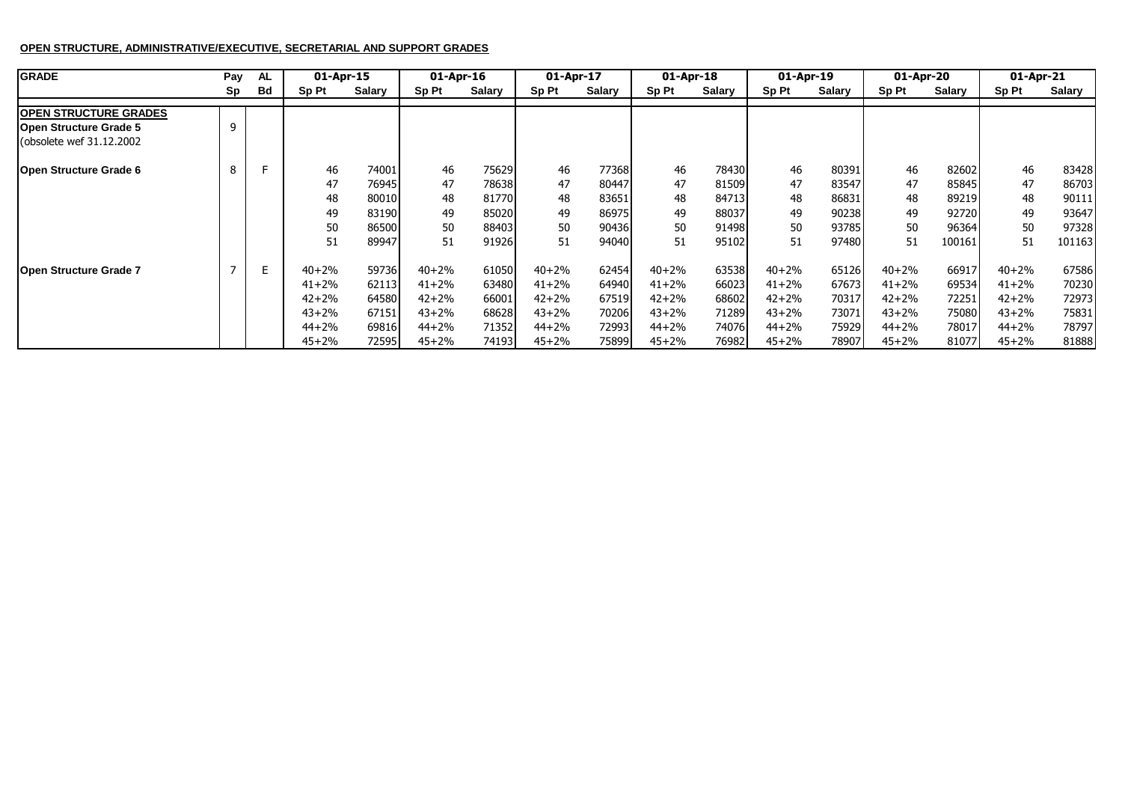## **OPEN STRUCTURE, ADMINISTRATIVE/EXECUTIVE, SECRETARIAL AND SUPPORT GRADES**

| <b>GRADE</b>                  | Pay | AL | 01-Apr-15 |        | 01-Apr-16 |        | 01-Apr-17 |               | $01$ -Apr-18 |        | 01-Apr-19 |        | 01-Apr-20 |        | 01-Apr-21 |        |
|-------------------------------|-----|----|-----------|--------|-----------|--------|-----------|---------------|--------------|--------|-----------|--------|-----------|--------|-----------|--------|
|                               | Sp  | Bd | Sp Pt     | Salary | Sp Pt     | Salary | Sp Pt     | <b>Salary</b> | Sp Pt        | Salary | Sp Pt     | Salary | Sp Pt     | Salary | Sp Pt     | Salary |
| <b>OPEN STRUCTURE GRADES</b>  |     |    |           |        |           |        |           |               |              |        |           |        |           |        |           |        |
| <b>Open Structure Grade 5</b> |     |    |           |        |           |        |           |               |              |        |           |        |           |        |           |        |
| (obsolete wef 31.12.2002)     |     |    |           |        |           |        |           |               |              |        |           |        |           |        |           |        |
| Open Structure Grade 6        |     |    | 46        | 74001  | 46        | 75629  | 46        | 77368         | 46           | 78430  | 46        | 80391  | 46        | 82602  | 46        | 83428  |
|                               |     |    | 47        | 76945  | 47        | 78638  | 47        | 80447         | 47           | 81509  | 47        | 83547  | 47        | 85845  | 47        | 86703  |
|                               |     |    | 48        | 80010  | 48        | 81770  | 48        | 83651         | 48           | 84713  | 48        | 86831  | 48        | 89219  | 48        | 90111  |
|                               |     |    | 49        | 83190  | 49        | 85020  | 49        | 86975         | 49           | 88037  | 49        | 90238  | 49        | 92720  | 49        | 93647  |
|                               |     |    | 50        | 86500  | 50        | 88403  | 50        | 90436         | 50           | 91498  | 50        | 93785  | 50        | 96364  | 50        | 97328  |
|                               |     |    | 51        | 89947  | 51        | 91926  | 51        | 94040         | 51           | 95102  | 51        | 97480  | 51        | 100161 | 51        | 101163 |
| <b>Open Structure Grade 7</b> |     | E. | $40 + 2%$ | 59736  | $40 + 2%$ | 61050  | $40 + 2%$ | 62454         | $40 + 2%$    | 63538  | $40 + 2%$ | 65126  | $40 + 2%$ | 66917  | $40 + 2%$ | 67586  |
|                               |     |    | $41 + 2%$ | 62113  | $41 + 2%$ | 63480  | $41 + 2%$ | 64940         | $41 + 2%$    | 66023  | $41 + 2%$ | 67673  | $41 + 2%$ | 69534  | $41 + 2%$ | 70230  |
|                               |     |    | $42 + 2%$ | 64580  | $42 + 2%$ | 66001  | $42 + 2%$ | 67519         | $42 + 2%$    | 68602  | $42 + 2%$ | 70317  | $42 + 2%$ | 72251  | $42 + 2%$ | 72973  |
|                               |     |    | $43 + 2%$ | 67151  | $43 + 2%$ | 68628  | $43 + 2%$ | 70206         | $43 + 2%$    | 71289  | $43 + 2%$ | 73071  | $43 + 2%$ | 75080  | $43 + 2%$ | 75831  |
|                               |     |    | $44 + 2%$ | 69816  | $44 + 2%$ | 71352  | $44 + 2%$ | 72993         | $44 + 2%$    | 74076  | $44 + 2%$ | 75929  | $44 + 2%$ | 78017  | $44 + 2%$ | 78797  |
|                               |     |    | $45 + 2%$ | 72595  | $45 + 2%$ | 74193  | $45 + 2%$ | 75899         | $45 + 2%$    | 76982  | $45 + 2%$ | 78907  | $45 + 2%$ | 81077  | $45 + 2%$ | 81888  |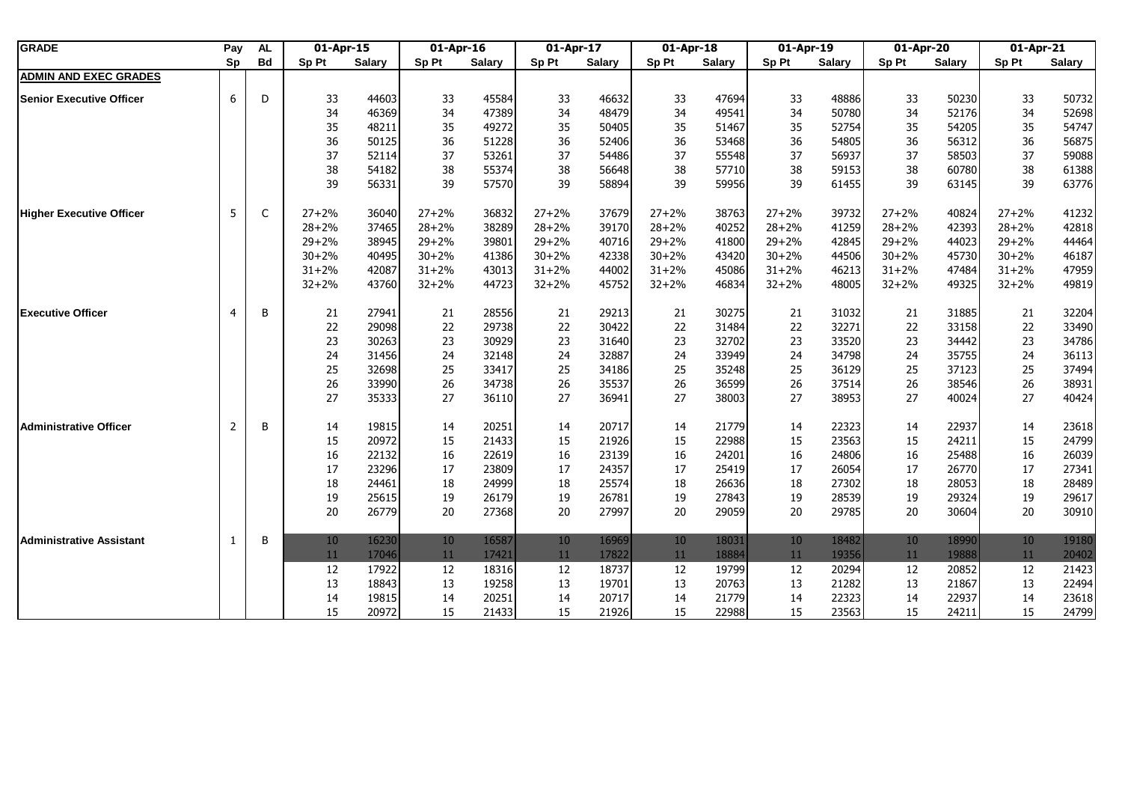| <b>GRADE</b>                    | Pay            | AL        | 01-Apr-15 |               | 01-Apr-16 |               | 01-Apr-17 |               | 01-Apr-18 |               | 01-Apr-19 |               | 01-Apr-20 |               | 01-Apr-21 |               |
|---------------------------------|----------------|-----------|-----------|---------------|-----------|---------------|-----------|---------------|-----------|---------------|-----------|---------------|-----------|---------------|-----------|---------------|
|                                 | Sp             | <b>Bd</b> | Sp Pt     | <b>Salary</b> | Sp Pt     | <b>Salary</b> | Sp Pt     | <b>Salary</b> | Sp Pt     | <b>Salary</b> | Sp Pt     | <b>Salary</b> | Sp Pt     | <b>Salary</b> | Sp Pt     | <b>Salary</b> |
| <b>ADMIN AND EXEC GRADES</b>    |                |           |           |               |           |               |           |               |           |               |           |               |           |               |           |               |
| <b>Senior Executive Officer</b> | 6              | D         | 33        | 44603         | 33        | 45584         | 33        | 46632         | 33        | 47694         | 33        | 48886         | 33        | 50230         | 33        | 50732         |
|                                 |                |           | 34        | 46369         | 34        | 47389         | 34        | 48479         | 34        | 49541         | 34        | 50780         | 34        | 52176         | 34        | 52698         |
|                                 |                |           | 35        | 48211         | 35        | 49272         | 35        | 50405         | 35        | 51467         | 35        | 52754         | 35        | 54205         | 35        | 54747         |
|                                 |                |           | 36        | 50125         | 36        | 51228         | 36        | 52406         | 36        | 53468         | 36        | 54805         | 36        | 56312         | 36        | 56875         |
|                                 |                |           | 37        | 52114         | 37        | 53261         | 37        | 54486         | 37        | 55548         | 37        | 56937         | 37        | 58503         | 37        | 59088         |
|                                 |                |           | 38        | 54182         | 38        | 55374         | 38        | 56648         | 38        | 57710         | 38        | 59153         | 38        | 60780         | 38        | 61388         |
|                                 |                |           | 39        | 56331         | 39        | 57570         | 39        | 58894         | 39        | 59956         | 39        | 61455         | 39        | 63145         | 39        | 63776         |
| <b>Higher Executive Officer</b> | 5              | C         | $27 + 2%$ | 36040         | $27 + 2%$ | 36832         | $27 + 2%$ | 37679         | $27 + 2%$ | 38763         | $27 + 2%$ | 39732         | $27 + 2%$ | 40824         | $27 + 2%$ | 41232         |
|                                 |                |           | $28 + 2%$ | 37465         | $28 + 2%$ | 38289         | $28 + 2%$ | 39170         | $28 + 2%$ | 40252         | $28 + 2%$ | 41259         | $28 + 2%$ | 42393         | $28 + 2%$ | 42818         |
|                                 |                |           | $29 + 2%$ | 38945         | $29 + 2%$ | 39801         | $29 + 2%$ | 40716         | $29 + 2%$ | 41800         | $29 + 2%$ | 42845         | $29 + 2%$ | 44023         | $29 + 2%$ | 44464         |
|                                 |                |           | $30 + 2%$ | 40495         | $30 + 2%$ | 41386         | $30 + 2%$ | 42338         | $30 + 2%$ | 43420         | $30 + 2%$ | 44506         | $30 + 2%$ | 45730         | $30 + 2%$ | 46187         |
|                                 |                |           | $31 + 2%$ | 42087         | $31 + 2%$ | 43013         | $31 + 2%$ | 44002         | $31 + 2%$ | 45086         | $31 + 2%$ | 46213         | $31 + 2%$ | 47484         | $31 + 2%$ | 47959         |
|                                 |                |           | $32 + 2%$ | 43760         | $32 + 2%$ | 44723         | $32 + 2%$ | 45752         | $32 + 2%$ | 46834         | $32 + 2%$ | 48005         | $32 + 2%$ | 49325         | $32 + 2%$ | 49819         |
| <b>Executive Officer</b>        | $\overline{4}$ | B         | 21        | 27941         | 21        | 28556         | 21        | 29213         | 21        | 30275         | 21        | 31032         | 21        | 31885         | 21        | 32204         |
|                                 |                |           | 22        | 29098         | 22        | 29738         | 22        | 30422         | 22        | 31484         | 22        | 32271         | 22        | 33158         | 22        | 33490         |
|                                 |                |           | 23        | 30263         | 23        | 30929         | 23        | 31640         | 23        | 32702         | 23        | 33520         | 23        | 34442         | 23        | 34786         |
|                                 |                |           | 24        | 31456         | 24        | 32148         | 24        | 32887         | 24        | 33949         | 24        | 34798         | 24        | 35755         | 24        | 36113         |
|                                 |                |           | 25        | 32698         | 25        | 33417         | 25        | 34186         | 25        | 35248         | 25        | 36129         | 25        | 37123         | 25        | 37494         |
|                                 |                |           | 26        | 33990         | 26        | 34738         | 26        | 35537         | 26        | 36599         | 26        | 37514         | 26        | 38546         | 26        | 38931         |
|                                 |                |           | 27        | 35333         | 27        | 36110         | 27        | 36941         | 27        | 38003         | 27        | 38953         | 27        | 40024         | 27        | 40424         |
| Administrative Officer          | $\overline{2}$ | B         | 14        | 19815         | 14        | 20251         | 14        | 20717         | 14        | 21779         | 14        | 22323         | 14        | 22937         | 14        | 23618         |
|                                 |                |           | 15        | 20972         | 15        | 21433         | 15        | 21926         | 15        | 22988         | 15        | 23563         | 15        | 24211         | 15        | 24799         |
|                                 |                |           | 16        | 22132         | $16\,$    | 22619         | 16        | 23139         | 16        | 24201         | 16        | 24806         | 16        | 25488         | 16        | 26039         |
|                                 |                |           | 17        | 23296         | 17        | 23809         | 17        | 24357         | 17        | 25419         | 17        | 26054         | 17        | 26770         | 17        | 27341         |
|                                 |                |           | 18        | 24461         | 18        | 24999         | 18        | 25574         | 18        | 26636         | 18        | 27302         | 18        | 28053         | 18        | 28489         |
|                                 |                |           | 19        | 25615         | 19        | 26179         | 19        | 26781         | 19        | 27843         | 19        | 28539         | 19        | 29324         | 19        | 29617         |
|                                 |                |           | 20        | 26779         | 20        | 27368         | 20        | 27997         | 20        | 29059         | 20        | 29785         | 20        | 30604         | 20        | 30910         |
| <b>Administrative Assistant</b> | 1              | B         | 10        | 16230         | 10        | 16587         | 10        | 16969         | 10        | 18031         | 10        | 18482         | 10        | 18990         | 10        | 19180         |
|                                 |                |           | 11        | 17046         | 11        | 17421         | 11        | 17822         | 11        | 18884         | 11        | 19356         | 11        | 19888         | 11        | 20402         |
|                                 |                |           | 12        | 17922         | 12        | 18316         | 12        | 18737         | 12        | 19799         | 12        | 20294         | 12        | 20852         | 12        | 21423         |
|                                 |                |           | 13        | 18843         | 13        | 19258         | 13        | 19701         | 13        | 20763         | 13        | 21282         | 13        | 21867         | 13        | 22494         |
|                                 |                |           | 14        | 19815         | 14        | 20251         | 14        | 20717         | 14        | 21779         | 14        | 22323         | 14        | 22937         | 14        | 23618         |
|                                 |                |           | 15        | 20972         | 15        | 21433         | 15        | 21926         | 15        | 22988         | 15        | 23563         | 15        | 24211         | 15        | 24799         |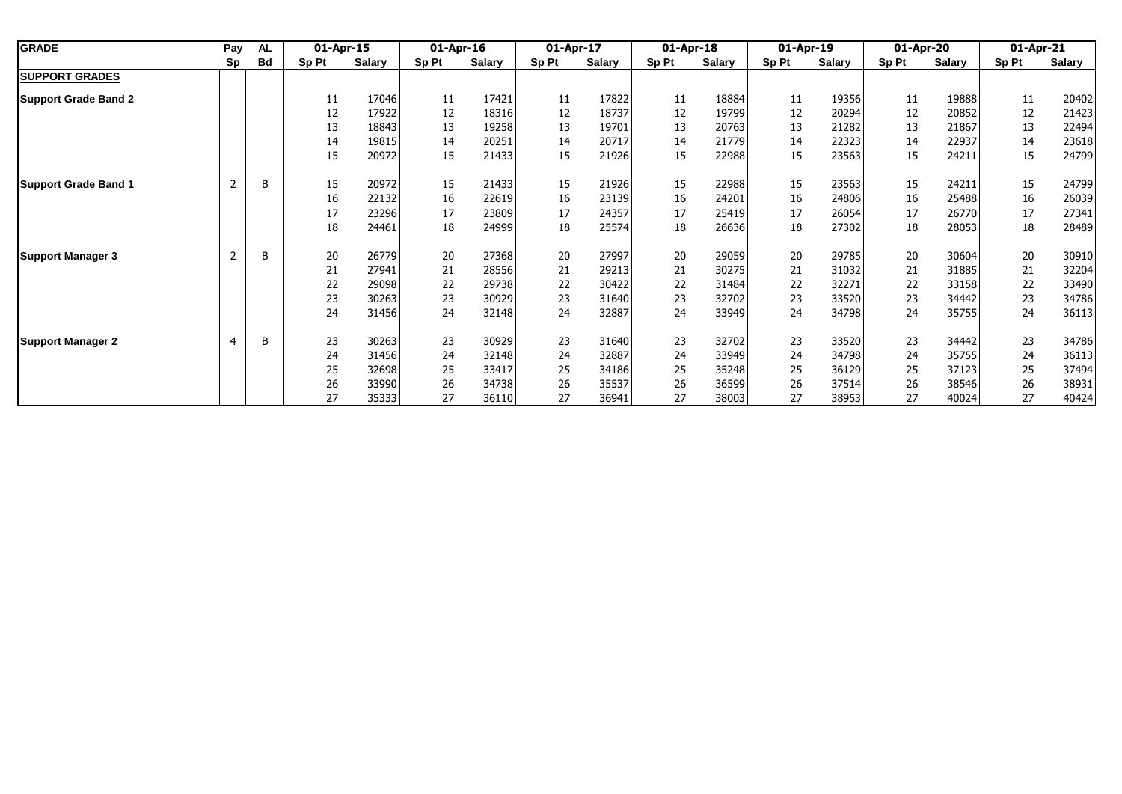| <b>GRADE</b>                | Pay<br>AL      |    |       |               | 01-Apr-15 |               | 01-Apr-16 |               | 01-Apr-17 |        | 01-Apr-18 |               | 01-Apr-19 |        | 01-Apr-20 |               | 01-Apr-21 |  |
|-----------------------------|----------------|----|-------|---------------|-----------|---------------|-----------|---------------|-----------|--------|-----------|---------------|-----------|--------|-----------|---------------|-----------|--|
|                             | Sp             | Bd | Sp Pt | <b>Salary</b> | Sp Pt     | <b>Salary</b> | Sp Pt     | <b>Salary</b> | Sp Pt     | Salary | Sp Pt     | <b>Salary</b> | Sp Pt     | Salary | Sp Pt     | <b>Salary</b> |           |  |
| <b>SUPPORT GRADES</b>       |                |    |       |               |           |               |           |               |           |        |           |               |           |        |           |               |           |  |
| <b>Support Grade Band 2</b> |                |    | 11    | 17046         | 11        | 17421         | 11        | 17822         | 11        | 18884  | 11        | 19356         | 11        | 19888  | 11        | 20402         |           |  |
|                             |                |    | 12    | 17922         | 12        | 18316         | 12        | 18737         | 12        | 19799  | 12        | 20294         | 12        | 20852  | 12        | 21423         |           |  |
|                             |                |    | 13    | 18843         | 13        | 19258         | 13        | 19701         | 13        | 20763  | 13        | 21282         | 13        | 21867  | 13        | 22494         |           |  |
|                             |                |    | 14    | 19815         | 14        | 20251         | 14        | 20717         | 14        | 21779  | 14        | 22323         | 14        | 22937  | 14        | 23618         |           |  |
|                             |                |    | 15    | 20972         | 15        | 21433         | 15        | 21926         | 15        | 22988  | 15        | 23563         | 15        | 24211  | 15        | 24799         |           |  |
| <b>Support Grade Band 1</b> | $\overline{2}$ | B  | 15    | 20972         | 15        | 21433         | 15        | 21926         | 15        | 22988  | 15        | 23563         | 15        | 24211  | 15        | 24799         |           |  |
|                             |                |    | 16    | 22132         | 16        | 22619         | 16        | 23139         | 16        | 24201  | 16        | 24806         | 16        | 25488  | 16        | 26039         |           |  |
|                             |                |    | 17    | 23296         | 17        | 23809         | 17        | 24357         | 17        | 25419  | 17        | 26054         | 17        | 26770  | 17        | 27341         |           |  |
|                             |                |    | 18    | 24461         | 18        | 24999         | 18        | 25574         | 18        | 26636  | 18        | 27302         | 18        | 28053  | 18        | 28489         |           |  |
| <b>Support Manager 3</b>    | $\overline{2}$ | В  | 20    | 26779         | 20        | 27368         | 20        | 27997         | 20        | 29059  | 20        | 29785         | 20        | 30604  | 20        | 30910         |           |  |
|                             |                |    | 21    | 27941         | 21        | 28556         | 21        | 29213         | 21        | 30275  | 21        | 31032         | 21        | 31885  | 21        | 32204         |           |  |
|                             |                |    | 22    | 29098         | 22        | 29738         | 22        | 30422         | 22        | 31484  | 22        | 32271         | 22        | 33158  | 22        | 33490         |           |  |
|                             |                |    | 23    | 30263         | 23        | 30929         | 23        | 31640         | 23        | 32702  | 23        | 33520         | 23        | 34442  | 23        | 34786         |           |  |
|                             |                |    | 24    | 31456         | 24        | 32148         | 24        | 32887         | 24        | 33949  | 24        | 34798         | 24        | 35755  | 24        | 36113         |           |  |
| <b>Support Manager 2</b>    | $\overline{4}$ | B  | 23    | 30263         | 23        | 30929         | 23        | 31640         | 23        | 32702  | 23        | 33520         | 23        | 34442  | 23        | 34786         |           |  |
|                             |                |    | 24    | 31456         | 24        | 32148         | 24        | 32887         | 24        | 33949  | 24        | 34798         | 24        | 35755  | 24        | 36113         |           |  |
|                             |                |    | 25    | 32698         | 25        | 33417         | 25        | 34186         | 25        | 35248  | 25        | 36129         | 25        | 37123  | 25        | 37494         |           |  |
|                             |                |    | 26    | 33990         | 26        | 34738         | 26        | 35537         | 26        | 36599  | 26        | 37514         | 26        | 38546  | 26        | 38931         |           |  |
|                             |                |    | 27    | 35333         | 27        | 36110         | 27        | 36941         | 27        | 38003  | 27        | 38953         | 27        | 40024  | 27        | 40424         |           |  |